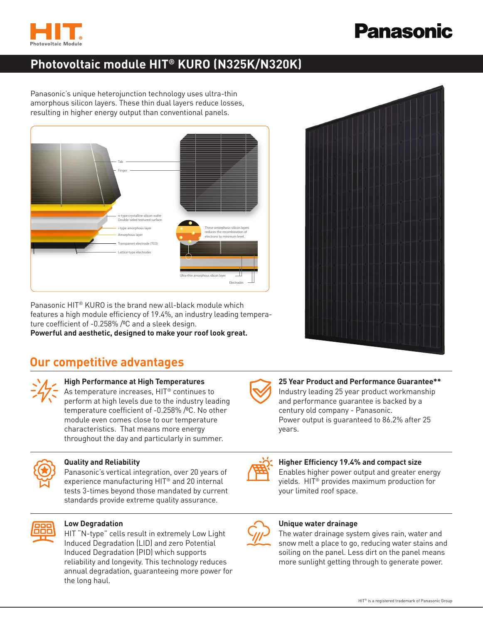

# **Panasonic**

# **Photovoltaic module HIT® KURO (N325K/N320K)**

Panasonic's unique heterojunction technology uses ultra-thin amorphous silicon layers. These thin dual layers reduce losses, resulting in higher energy output than conventional panels.



Panasonic HIT® KURO is the brand new all-black module which features a high module efficiency of 19.4%, an industry leading temperature coefficient of -0.258% / C and a sleek design.

**Powerful and aesthetic, designed to make your roof look great.**

# **Our competitive advantages**



# **High Performance at High Temperatures**

As temperature increases, HIT® continues to perform at high levels due to the industry leading temperature coefficient of -0.258% / C. No other module even comes close to our temperature characteristics. That means more energy throughout the day and particularly in summer.



## **Quality and Reliability**

Panasonic's vertical integration, over 20 years of experience manufacturing HIT® and 20 internal tests 3-times beyond those mandated by current standards provide extreme quality assurance.



### **Low Degradation**

HIT "N-type" cells result in extremely Low Light Induced Degradation (LID) and zero Potential Induced Degradation (PID) which supports reliability and longevity. This technology reduces annual degradation, guaranteeing more power for the long haul.





### **25 Year Product and Performance Guarantee\*\***

Industry leading 25 year product workmanship and performance guarantee is backed by a century old company - Panasonic. Power output is guaranteed to 86.2% after 25 years.



## **Higher Efficiency 19.4% and compact size**

Enables higher power output and greater energy yields. HIT® provides maximum production for your limited roof space.



## **Unique water drainage**

The water drainage system gives rain, water and snow melt a place to go, reducing water stains and soiling on the panel. Less dirt on the panel means more sunlight getting through to generate power.